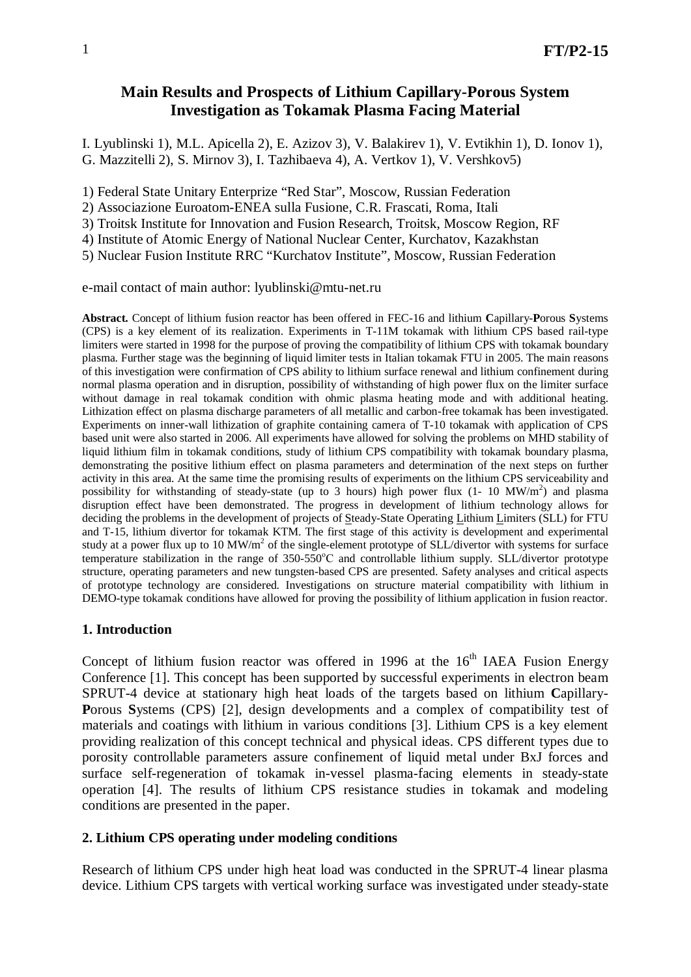# **Main Results and Prospects of Lithium Capillary-Porous System Investigation as Tokamak Plasma Facing Material**

I. Lyublinski 1), M.L. Apicella 2), E. Azizov 3), V. Balakirev 1), V. Evtikhin 1), D. Ionov 1), G. Mazzitelli 2), S. Mirnov 3), I. Tazhibaeva 4), A. Vertkov 1), V. Vershkov5)

1) Federal State Unitary Enterprize "Red Star", Moscow, Russian Federation

2) Associazione Euroatom-ENEA sulla Fusione, C.R. Frascati, Roma, Itali

3) Troitsk Institute for Innovation and Fusion Research, Troitsk, Moscow Region, RF

4) Institute of Atomic Energy of National Nuclear Center, Kurchatov, Kazakhstan

5) Nuclear Fusion Institute RRC "Kurchatov Institute", Moscow, Russian Federation

e-mail contact of main author: [lyublinski@mtu-net.ru](mailto:lyublinski@mtu-net.ru)

**Abstract.** Concept of lithium fusion reactor has been offered in FEC-16 and lithium **C**apillary-**P**orous **S**ystems (CPS) is a key element of its realization. Experiments in T-11M tokamak with lithium CPS based rail-type limiters were started in 1998 for the purpose of proving the compatibility of lithium CPS with tokamak boundary plasma. Further stage was the beginning of liquid limiter tests in Italian tokamak FTU in 2005. The main reasons of this investigation were confirmation of CPS ability to lithium surface renewal and lithium confinement during normal plasma operation and in disruption, possibility of withstanding of high power flux on the limiter surface without damage in real tokamak condition with ohmic plasma heating mode and with additional heating. Lithization effect on plasma discharge parameters of all metallic and carbon-free tokamak has been investigated. Experiments on inner-wall lithization of graphite containing camera of T-10 tokamak with application of CPS based unit were also started in 2006. All experiments have allowed for solving the problems on MHD stability of liquid lithium film in tokamak conditions, study of lithium CPS compatibility with tokamak boundary plasma, demonstrating the positive lithium effect on plasma parameters and determination of the next steps on further activity in this area. At the same time the promising results of experiments on the lithium CPS serviceability and possibility for withstanding of steady-state (up to 3 hours) high power flux  $(1 - 10 \text{ MW/m}^2)$  and plasma disruption effect have been demonstrated. The progress in development of lithium technology allows for deciding the problems in the development of projects of Steady-State Operating Lithium Limiters (SLL) for FTU and T-15, lithium divertor for tokamak KTM. The first stage of this activity is development and experimental study at a power flux up to 10 MW/m<sup>2</sup> of the single-element prototype of SLL/divertor with systems for surface temperature stabilization in the range of 350-550<sup>°</sup>C and controllable lithium supply. SLL/divertor prototype structure, operating parameters and new tungsten-based CPS are presented. Safety analyses and critical aspects of prototype technology are considered. Investigations on structure material compatibility with lithium in DEMO-type tokamak conditions have allowed for proving the possibility of lithium application in fusion reactor.

#### **1. Introduction**

Concept of lithium fusion reactor was offered in 1996 at the  $16<sup>th</sup>$  IAEA Fusion Energy Conference [1]. This concept has been supported by successful experiments in electron beam SPRUT-4 device at stationary high heat loads of the targets based on lithium **C**apillary-**P**orous **S**ystems (CPS) [2], design developments and a complex of compatibility test of materials and coatings with lithium in various conditions [3]. Lithium CPS is a key element providing realization of this concept technical and physical ideas. CPS different types due to porosity controllable parameters assure confinement of liquid metal under BxJ forces and surface self-regeneration of tokamak in-vessel plasma-facing elements in steady-state operation [4]. The results of lithium CPS resistance studies in tokamak and modeling conditions are presented in the paper.

#### **2. Lithium CPS operating under modeling conditions**

Research of lithium CPS under high heat load was conducted in the SPRUT-4 linear plasma device. Lithium CPS targets with vertical working surface was investigated under steady-state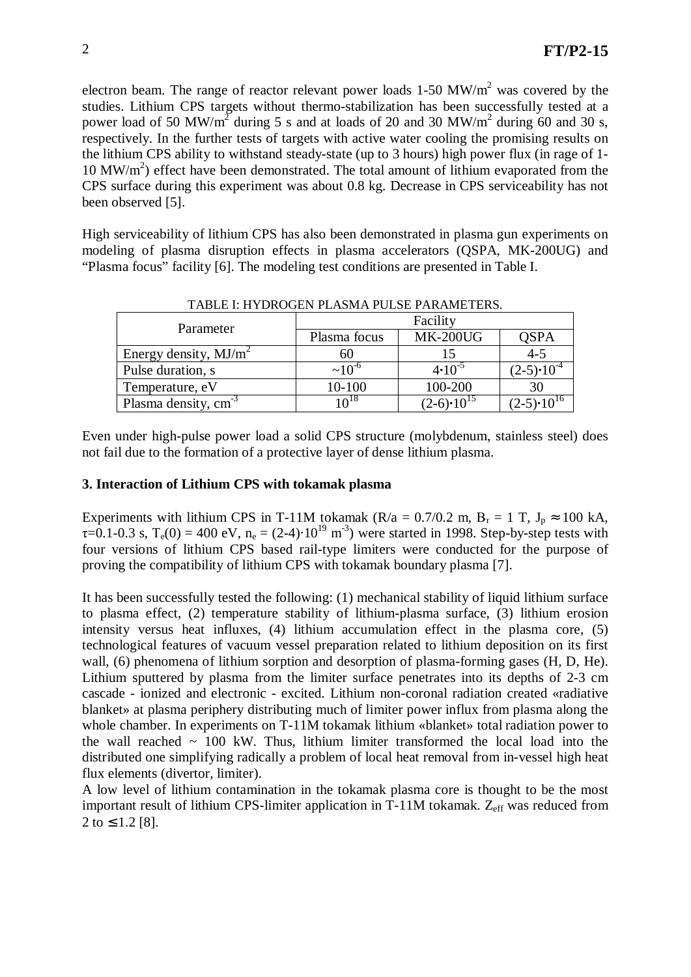electron beam. The range of reactor relevant power loads  $1-50$  MW/m<sup>2</sup> was covered by the studies. Lithium CPS targets without thermo-stabilization has been successfully tested at a power load of 50 MW/m<sup>2</sup> during 5 s and at loads of 20 and 30 MW/m<sup>2</sup> during 60 and 30 s, respectively. In the further tests of targets with active water cooling the promising results on the lithium CPS ability to withstand steady-state (up to 3 hours) high power flux (in rage of 1-  $10 \text{ MW/m}^2$ ) effect have been demonstrated. The total amount of lithium evaporated from the CPS surface during this experiment was about 0.8 kg. Decrease in CPS serviceability has not been observed [5].

High serviceability of lithium CPS has also been demonstrated in plasma gun experiments on modeling of plasma disruption effects in plasma accelerators (QSPA, MK-200UG) and "Plasma focus" facility [6]. The modeling test conditions are presented in Table I.

| Parameter                        | Facility         |                       |                       |
|----------------------------------|------------------|-----------------------|-----------------------|
|                                  | Plasma focus     | <b>MK-200UG</b>       | <b>QSPA</b>           |
| Energy density, $MJ/m^2$         | 60               |                       | $4 - 5$               |
| Pulse duration, s                | $\sim 10^{-6}$   | $4 \cdot 10^{-5}$     | $(2-5) \cdot 10^{-4}$ |
| Temperature, eV                  | 10-100           | 100-200               | 30                    |
| Plasma density, cm <sup>-3</sup> | 10 <sup>18</sup> | $(2-6) \cdot 10^{15}$ | $(2-5) \cdot 10^{16}$ |

TABLE I: HYDROGEN PLASMA PULSE PARAMETERS.

Even under high-pulse power load a solid CPS structure (molybdenum, stainless steel) does not fail due to the formation of a protective layer of dense lithium plasma.

#### **3. Interaction of Lithium CPS with tokamak plasma**

Experiments with lithium CPS in T-11M tokamak (R/a = 0.7/0.2 m, B<sub>T</sub> = 1 T,  $J_p \approx 100$  kA,  $\tau$ =0.1-0.3 s, T<sub>e</sub>(0) = 400 eV, n<sub>e</sub> = (2-4)·10<sup>19</sup> m<sup>-3</sup>) were started in 1998. Step-by-step tests with four versions of lithium CPS based rail-type limiters were conducted for the purpose of proving the compatibility of lithium CPS with tokamak boundary plasma [7].

It has been successfully tested the following: (1) mechanical stability of liquid lithium surface to plasma effect, (2) temperature stability of lithium-plasma surface, (3) lithium erosion intensity versus heat influxes, (4) lithium accumulation effect in the plasma core, (5) technological features of vacuum vessel preparation related to lithium deposition on its first wall, (6) phenomena of lithium sorption and desorption of plasma-forming gases (H, D, He). Lithium sputtered by plasma from the limiter surface penetrates into its depths of 2-3 cm cascade - ionized and electronic - excited. Lithium non-coronal radiation created «radiative blanket» at plasma periphery distributing much of limiter power influx from plasma along the whole chamber. In experiments on T-11M tokamak lithium «blanket» total radiation power to the wall reached  $\sim$  100 kW. Thus, lithium limiter transformed the local load into the distributed one simplifying radically a problem of local heat removal from in-vessel high heat flux elements (divertor, limiter).

A low level of lithium contamination in the tokamak plasma core is thought to be the most important result of lithium CPS-limiter application in  $T-11M$  tokamak.  $Z_{\text{eff}}$  was reduced from  $2$  to  $\leq$  1.2 [8].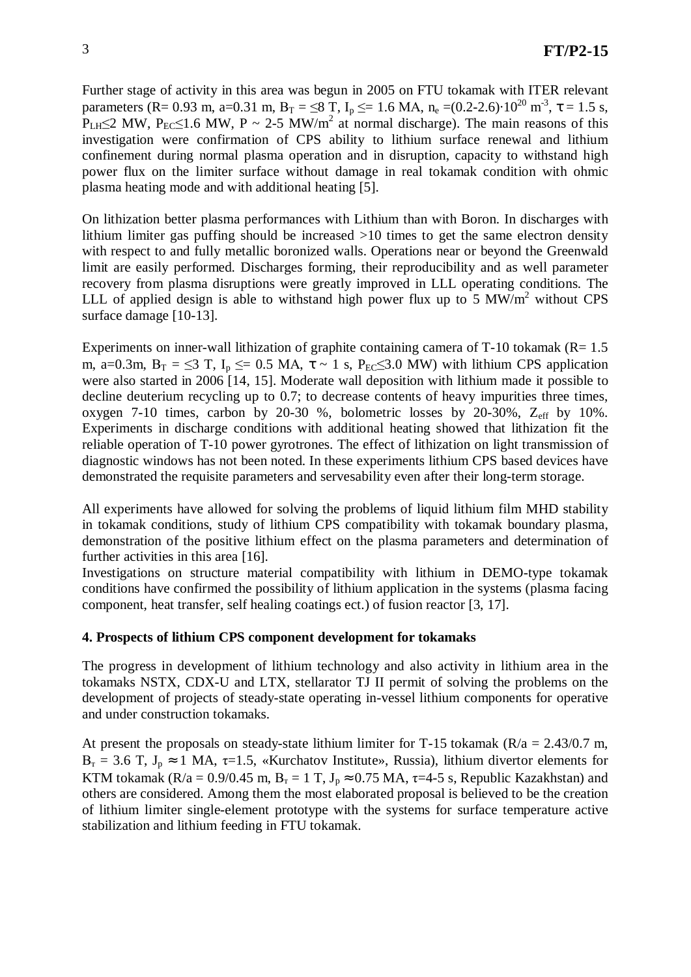Further stage of activity in this area was begun in 2005 on FTU tokamak with ITER relevant parameters (R= 0.93 m, a=0.31 m, B<sub>T</sub> =  $\leq$ 8 T, I<sub>p</sub>  $\leq$  = 1.6 MA, n<sub>e</sub> =(0.2-2.6)·10<sup>20</sup> m<sup>-3</sup>,  $\tau$  = 1.5 s,  $P<sub>LH</sub> \leq 2$  MW,  $P<sub>EC</sub> \leq 1.6$  MW, P ~ 2-5 MW/m<sup>2</sup> at normal discharge). The main reasons of this investigation were confirmation of CPS ability to lithium surface renewal and lithium confinement during normal plasma operation and in disruption, capacity to withstand high power flux on the limiter surface without damage in real tokamak condition with ohmic plasma heating mode and with additional heating [5].

On lithization better plasma performances with Lithium than with Boron. In discharges with lithium limiter gas puffing should be increased >10 times to get the same electron density with respect to and fully metallic boronized walls. Operations near or beyond the Greenwald limit are easily performed. Discharges forming, their reproducibility and as well parameter recovery from plasma disruptions were greatly improved in LLL operating conditions. The LLL of applied design is able to withstand high power flux up to 5 MW/ $m^2$  without CPS surface damage [10-13].

Experiments on inner-wall lithization of graphite containing camera of  $T-10$  tokamak ( $R= 1.5$ ) m, a=0.3m,  $B_T = \leq 3$  T,  $I_p \leq 0.5$  MA,  $\tau \sim 1$  s,  $P_{EC} \leq 3.0$  MW) with lithium CPS application were also started in 2006 [14, 15]. Moderate wall deposition with lithium made it possible to decline deuterium recycling up to 0.7; to decrease contents of heavy impurities three times, oxygen 7-10 times, carbon by 20-30 %, bolometric losses by 20-30%,  $Z_{\text{eff}}$  by 10%. Experiments in discharge conditions with additional heating showed that lithization fit the reliable operation of T-10 power gyrotrones. The effect of lithization on light transmission of diagnostic windows has not been noted. In these experiments lithium CPS based devices have demonstrated the requisite parameters and servesability even after their long-term storage.

All experiments have allowed for solving the problems of liquid lithium film MHD stability in tokamak conditions, study of lithium CPS compatibility with tokamak boundary plasma, demonstration of the positive lithium effect on the plasma parameters and determination of further activities in this area [16].

Investigations on structure material compatibility with lithium in DEMO-type tokamak conditions have confirmed the possibility of lithium application in the systems (plasma facing component, heat transfer, self healing coatings ect.) of fusion reactor [3, 17].

## **4. Prospects of lithium CPS component development for tokamaks**

The progress in development of lithium technology and also activity in lithium area in the tokamaks NSTX, CDX-U and LTX, stellarator TJ II permit of solving the problems on the development of projects of steady-state operating in-vessel lithium components for operative and under construction tokamaks.

At present the proposals on steady-state lithium limiter for T-15 tokamak ( $R/a = 2.43/0.7$  m,  $B_T = 3.6$  T,  $J_p \approx 1$  MA,  $\tau=1.5$ , «Kurchatov Institute», Russia), lithium divertor elements for KTM tokamak (R/a = 0.9/0.45 m, B<sub>T</sub> = 1 T, J<sub>p</sub>  $\approx$  0.75 MA,  $\tau$ =4-5 s, Republic Kazakhstan) and others are considered. Among them the most elaborated proposal is believed to be the creation of lithium limiter single-element prototype with the systems for surface temperature active stabilization and lithium feeding in FTU tokamak.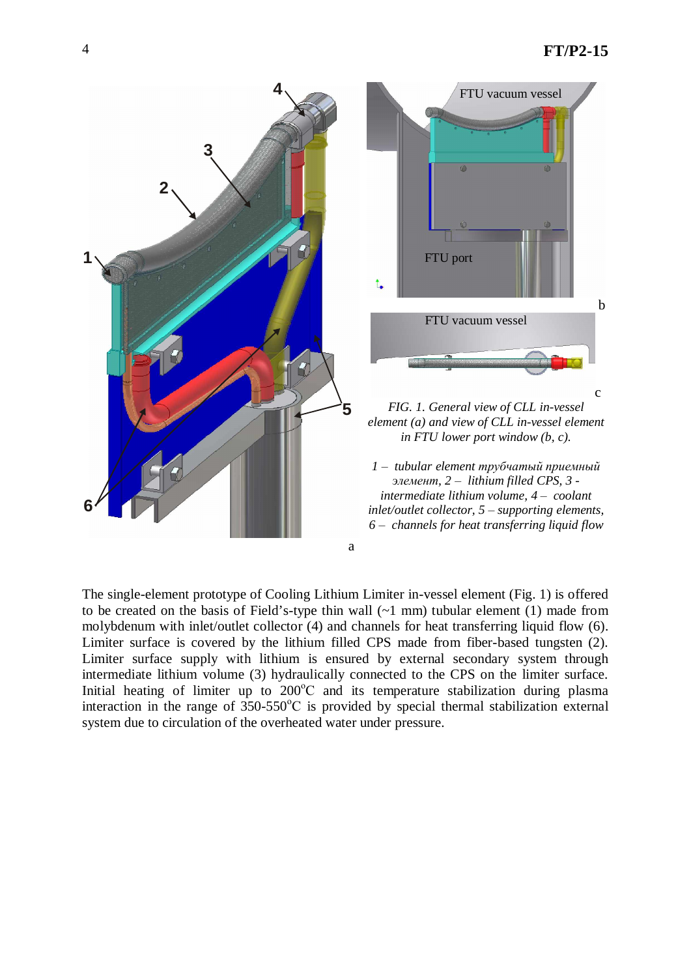

The single-element prototype of Cooling Lithium Limiter in-vessel element (Fig. 1) is offered to be created on the basis of Field's-type thin wall  $(-1 \text{ mm})$  tubular element  $(1)$  made from molybdenum with inlet/outlet collector (4) and channels for heat transferring liquid flow (6). Limiter surface is covered by the lithium filled CPS made from fiber-based tungsten (2). Limiter surface supply with lithium is ensured by external secondary system through intermediate lithium volume (3) hydraulically connected to the CPS on the limiter surface. Initial heating of limiter up to  $200^{\circ}$ C and its temperature stabilization during plasma interaction in the range of  $350-550^{\circ}$ C is provided by special thermal stabilization external system due to circulation of the overheated water under pressure.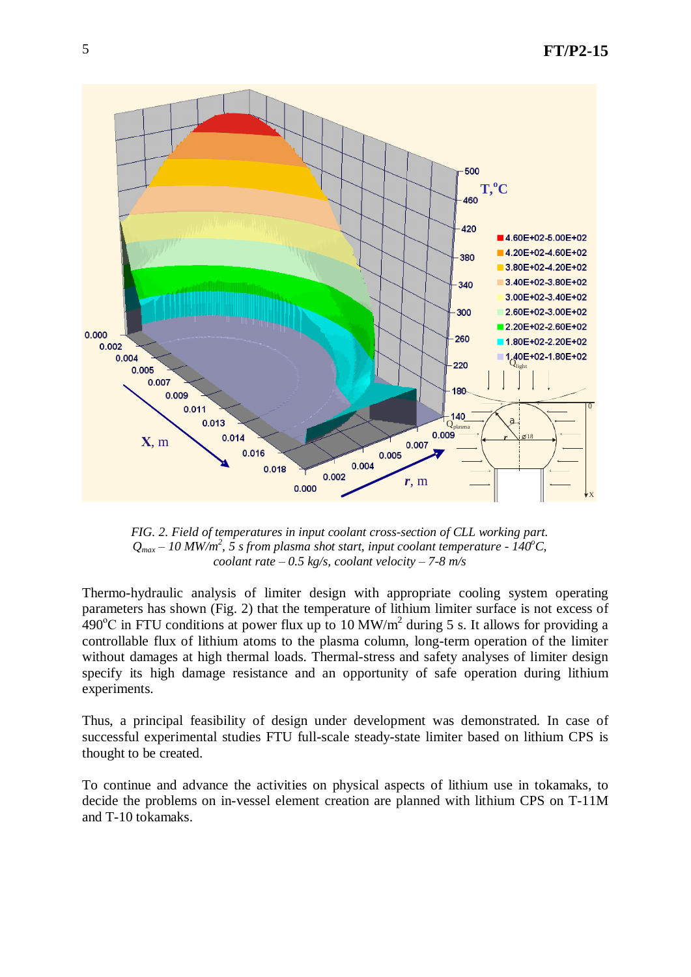

*FIG. 2. Field of temperatures in input coolant cross-section of CLL working part. Qmax± 10 MW/m<sup>2</sup> , 5 s from plasma shot start, input coolant temperature - 140<sup>o</sup>C, coolant rate*  $-0.5$  *kg/s, coolant velocity*  $-7-8$  *m/s* 

Thermo-hydraulic analysis of limiter design with appropriate cooling system operating parameters has shown (Fig. 2) that the temperature of lithium limiter surface is not excess of  $490^{\circ}$ C in FTU conditions at power flux up to 10 MW/m<sup>2</sup> during 5 s. It allows for providing a controllable flux of lithium atoms to the plasma column, long-term operation of the limiter without damages at high thermal loads. Thermal-stress and safety analyses of limiter design specify its high damage resistance and an opportunity of safe operation during lithium experiments.

Thus, a principal feasibility of design under development was demonstrated. In case of successful experimental studies FTU full-scale steady-state limiter based on lithium CPS is thought to be created.

To continue and advance the activities on physical aspects of lithium use in tokamaks, to decide the problems on in-vessel element creation are planned with lithium CPS on T-11M and T-10 tokamaks.